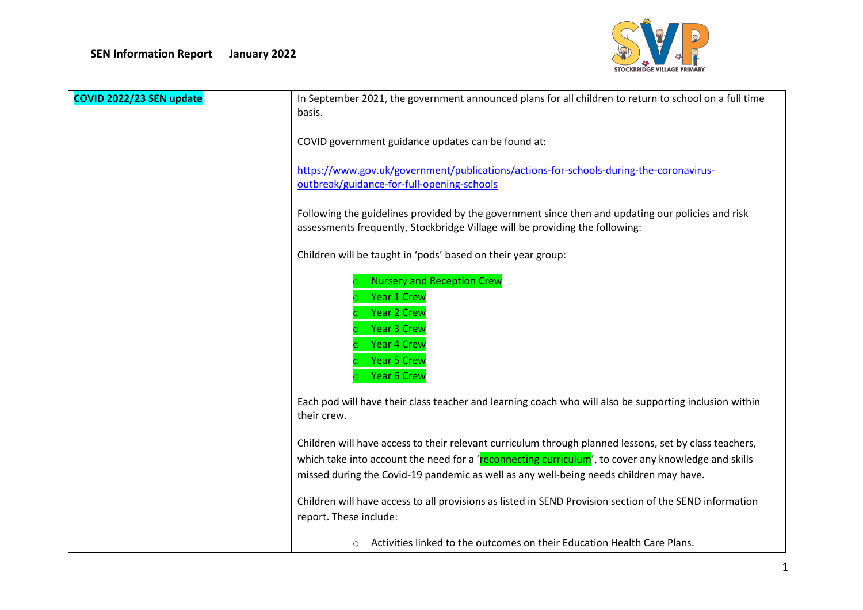

| COVID 2022/23 SEN update | In September 2021, the government announced plans for all children to return to school on a full time<br>basis.<br>COVID government guidance updates can be found at:<br>https://www.gov.uk/government/publications/actions-for-schools-during-the-coronavirus-<br>outbreak/guidance-for-full-opening-schools<br>Following the guidelines provided by the government since then and updating our policies and risk<br>assessments frequently, Stockbridge Village will be providing the following:                                          |
|--------------------------|---------------------------------------------------------------------------------------------------------------------------------------------------------------------------------------------------------------------------------------------------------------------------------------------------------------------------------------------------------------------------------------------------------------------------------------------------------------------------------------------------------------------------------------------|
|                          | Children will be taught in 'pods' based on their year group:<br><b>Nursery and Reception Crew</b><br><b>Year 1 Crew</b><br><b>Year 2 Crew</b><br><b>Year 3 Crew</b><br><b>Year 4 Crew</b><br><b>Year 5 Crew</b><br>Year 6 Crew                                                                                                                                                                                                                                                                                                              |
|                          | Each pod will have their class teacher and learning coach who will also be supporting inclusion within<br>their crew.<br>Children will have access to their relevant curriculum through planned lessons, set by class teachers,<br>which take into account the need for a 'reconnecting curriculum', to cover any knowledge and skills<br>missed during the Covid-19 pandemic as well as any well-being needs children may have.<br>Children will have access to all provisions as listed in SEND Provision section of the SEND information |
|                          | report. These include:<br>Activities linked to the outcomes on their Education Health Care Plans.<br>$\circ$                                                                                                                                                                                                                                                                                                                                                                                                                                |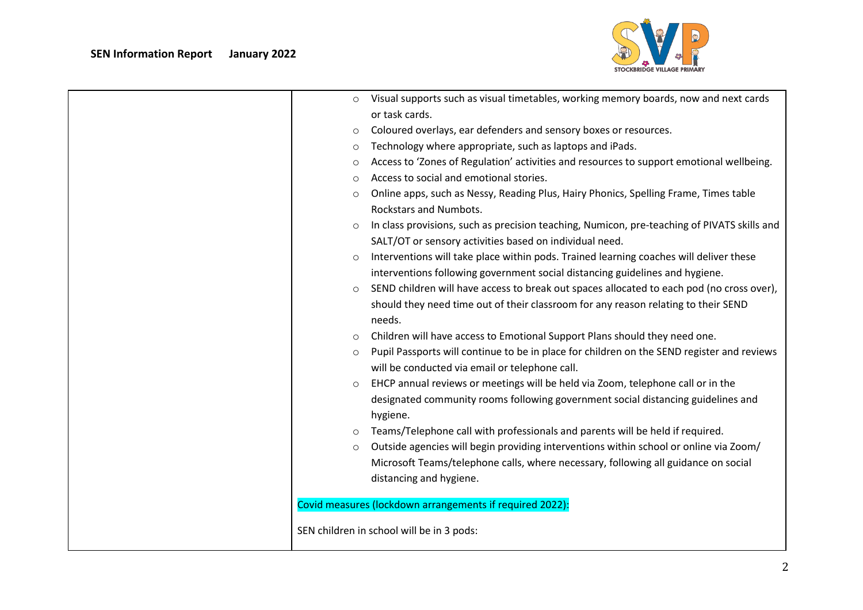

| $\circ$ | Visual supports such as visual timetables, working memory boards, now and next cards        |
|---------|---------------------------------------------------------------------------------------------|
|         | or task cards.                                                                              |
| $\circ$ | Coloured overlays, ear defenders and sensory boxes or resources.                            |
| $\circ$ | Technology where appropriate, such as laptops and iPads.                                    |
| $\circ$ | Access to 'Zones of Regulation' activities and resources to support emotional wellbeing.    |
| $\circ$ | Access to social and emotional stories.                                                     |
| $\circ$ | Online apps, such as Nessy, Reading Plus, Hairy Phonics, Spelling Frame, Times table        |
|         | Rockstars and Numbots.                                                                      |
| $\circ$ | In class provisions, such as precision teaching, Numicon, pre-teaching of PIVATS skills and |
|         | SALT/OT or sensory activities based on individual need.                                     |
| $\circ$ | Interventions will take place within pods. Trained learning coaches will deliver these      |
|         | interventions following government social distancing guidelines and hygiene.                |
| $\circ$ | SEND children will have access to break out spaces allocated to each pod (no cross over),   |
|         | should they need time out of their classroom for any reason relating to their SEND          |
|         | needs.                                                                                      |
| $\circ$ | Children will have access to Emotional Support Plans should they need one.                  |
| $\circ$ | Pupil Passports will continue to be in place for children on the SEND register and reviews  |
|         | will be conducted via email or telephone call.                                              |
| $\circ$ | EHCP annual reviews or meetings will be held via Zoom, telephone call or in the             |
|         | designated community rooms following government social distancing guidelines and            |
|         | hygiene.                                                                                    |
|         | Teams/Telephone call with professionals and parents will be held if required.               |
| $\circ$ | Outside agencies will begin providing interventions within school or online via Zoom/       |
|         | Microsoft Teams/telephone calls, where necessary, following all guidance on social          |
|         | distancing and hygiene.                                                                     |
|         | Covid measures (lockdown arrangements if required 2022):                                    |
|         |                                                                                             |
|         | SEN children in school will be in 3 pods:                                                   |
|         |                                                                                             |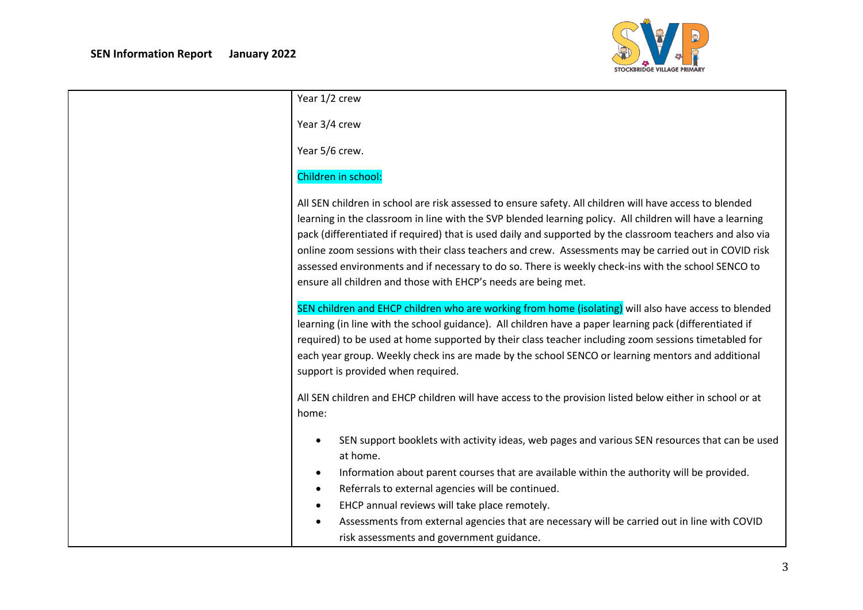

| Year 1/2 crew                                                                                                                                                                                                                                                                                                                                                                                                                                                                                                                                                                                                       |
|---------------------------------------------------------------------------------------------------------------------------------------------------------------------------------------------------------------------------------------------------------------------------------------------------------------------------------------------------------------------------------------------------------------------------------------------------------------------------------------------------------------------------------------------------------------------------------------------------------------------|
| Year 3/4 crew                                                                                                                                                                                                                                                                                                                                                                                                                                                                                                                                                                                                       |
| Year 5/6 crew.                                                                                                                                                                                                                                                                                                                                                                                                                                                                                                                                                                                                      |
| Children in school:                                                                                                                                                                                                                                                                                                                                                                                                                                                                                                                                                                                                 |
| All SEN children in school are risk assessed to ensure safety. All children will have access to blended<br>learning in the classroom in line with the SVP blended learning policy. All children will have a learning<br>pack (differentiated if required) that is used daily and supported by the classroom teachers and also via<br>online zoom sessions with their class teachers and crew. Assessments may be carried out in COVID risk<br>assessed environments and if necessary to do so. There is weekly check-ins with the school SENCO to<br>ensure all children and those with EHCP's needs are being met. |
| SEN children and EHCP children who are working from home (isolating) will also have access to blended<br>learning (in line with the school guidance). All children have a paper learning pack (differentiated if<br>required) to be used at home supported by their class teacher including zoom sessions timetabled for<br>each year group. Weekly check ins are made by the school SENCO or learning mentors and additional<br>support is provided when required.                                                                                                                                                 |
| All SEN children and EHCP children will have access to the provision listed below either in school or at<br>home:                                                                                                                                                                                                                                                                                                                                                                                                                                                                                                   |
| SEN support booklets with activity ideas, web pages and various SEN resources that can be used<br>at home.<br>Information about parent courses that are available within the authority will be provided.<br>Referrals to external agencies will be continued.<br>$\bullet$<br>EHCP annual reviews will take place remotely.<br>$\bullet$<br>Assessments from external agencies that are necessary will be carried out in line with COVID<br>$\bullet$<br>risk assessments and government guidance.                                                                                                                  |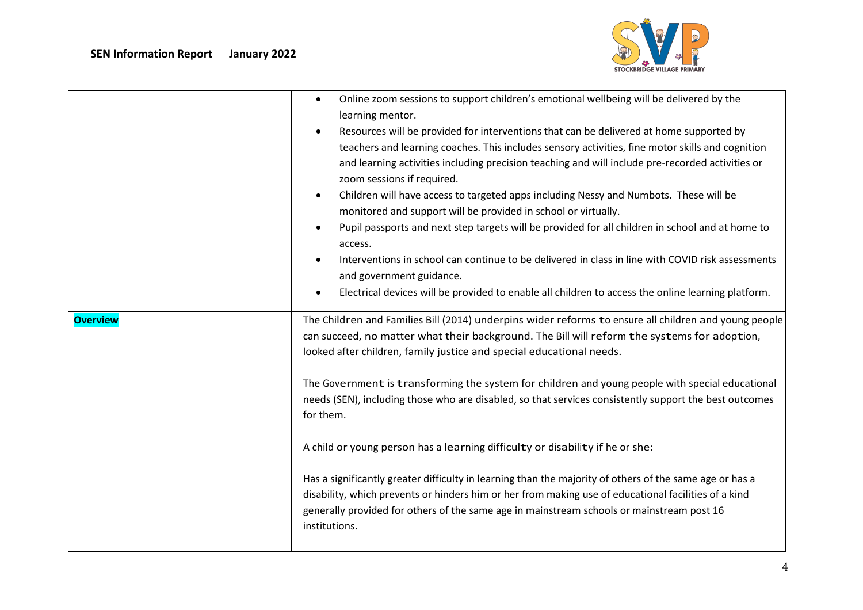

|                 | Online zoom sessions to support children's emotional wellbeing will be delivered by the<br>$\bullet$<br>learning mentor.<br>Resources will be provided for interventions that can be delivered at home supported by<br>teachers and learning coaches. This includes sensory activities, fine motor skills and cognition<br>and learning activities including precision teaching and will include pre-recorded activities or<br>zoom sessions if required.<br>Children will have access to targeted apps including Nessy and Numbots. These will be<br>$\bullet$<br>monitored and support will be provided in school or virtually.<br>Pupil passports and next step targets will be provided for all children in school and at home to<br>access.<br>Interventions in school can continue to be delivered in class in line with COVID risk assessments<br>and government guidance.<br>Electrical devices will be provided to enable all children to access the online learning platform. |
|-----------------|-----------------------------------------------------------------------------------------------------------------------------------------------------------------------------------------------------------------------------------------------------------------------------------------------------------------------------------------------------------------------------------------------------------------------------------------------------------------------------------------------------------------------------------------------------------------------------------------------------------------------------------------------------------------------------------------------------------------------------------------------------------------------------------------------------------------------------------------------------------------------------------------------------------------------------------------------------------------------------------------|
| <b>Overview</b> | The Children and Families Bill (2014) underpins wider reforms to ensure all children and young people<br>can succeed, no matter what their background. The Bill will reform the systems for adoption,<br>looked after children, family justice and special educational needs.<br>The Government is transforming the system for children and young people with special educational<br>needs (SEN), including those who are disabled, so that services consistently support the best outcomes<br>for them.<br>A child or young person has a learning difficulty or disability if he or she:<br>Has a significantly greater difficulty in learning than the majority of others of the same age or has a<br>disability, which prevents or hinders him or her from making use of educational facilities of a kind<br>generally provided for others of the same age in mainstream schools or mainstream post 16<br>institutions.                                                              |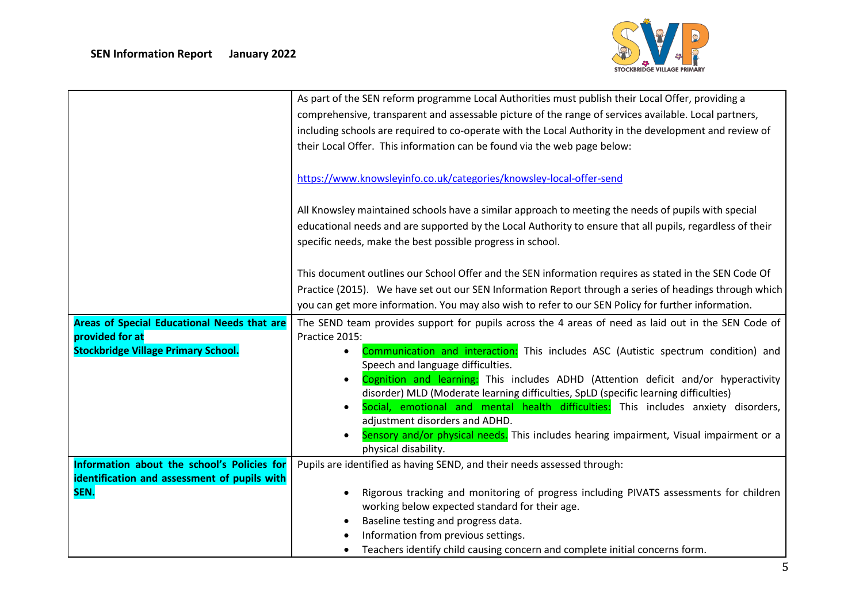

|                                                    | As part of the SEN reform programme Local Authorities must publish their Local Offer, providing a         |
|----------------------------------------------------|-----------------------------------------------------------------------------------------------------------|
|                                                    | comprehensive, transparent and assessable picture of the range of services available. Local partners,     |
|                                                    | including schools are required to co-operate with the Local Authority in the development and review of    |
|                                                    | their Local Offer. This information can be found via the web page below:                                  |
|                                                    |                                                                                                           |
|                                                    | https://www.knowsleyinfo.co.uk/categories/knowsley-local-offer-send                                       |
|                                                    |                                                                                                           |
|                                                    | All Knowsley maintained schools have a similar approach to meeting the needs of pupils with special       |
|                                                    | educational needs and are supported by the Local Authority to ensure that all pupils, regardless of their |
|                                                    |                                                                                                           |
|                                                    | specific needs, make the best possible progress in school.                                                |
|                                                    |                                                                                                           |
|                                                    | This document outlines our School Offer and the SEN information requires as stated in the SEN Code Of     |
|                                                    | Practice (2015). We have set out our SEN Information Report through a series of headings through which    |
|                                                    | you can get more information. You may also wish to refer to our SEN Policy for further information.       |
| <b>Areas of Special Educational Needs that are</b> | The SEND team provides support for pupils across the 4 areas of need as laid out in the SEN Code of       |
| provided for at                                    | Practice 2015:                                                                                            |
| <b>Stockbridge Village Primary School.</b>         | Communication and interaction: This includes ASC (Autistic spectrum condition) and                        |
|                                                    | Speech and language difficulties.                                                                         |
|                                                    | Cognition and learning: This includes ADHD (Attention deficit and/or hyperactivity<br>$\bullet$           |
|                                                    | disorder) MLD (Moderate learning difficulties, SpLD (specific learning difficulties)                      |
|                                                    | Social, emotional and mental health difficulties: This includes anxiety disorders,                        |
|                                                    | adjustment disorders and ADHD.                                                                            |
|                                                    | Sensory and/or physical needs. This includes hearing impairment, Visual impairment or a                   |
|                                                    | physical disability.                                                                                      |
| Information about the school's Policies for        | Pupils are identified as having SEND, and their needs assessed through:                                   |
| identification and assessment of pupils with       |                                                                                                           |
| SEN.                                               | Rigorous tracking and monitoring of progress including PIVATS assessments for children                    |
|                                                    | working below expected standard for their age.                                                            |
|                                                    | Baseline testing and progress data.<br>٠                                                                  |
|                                                    | Information from previous settings.                                                                       |
|                                                    | Teachers identify child causing concern and complete initial concerns form.                               |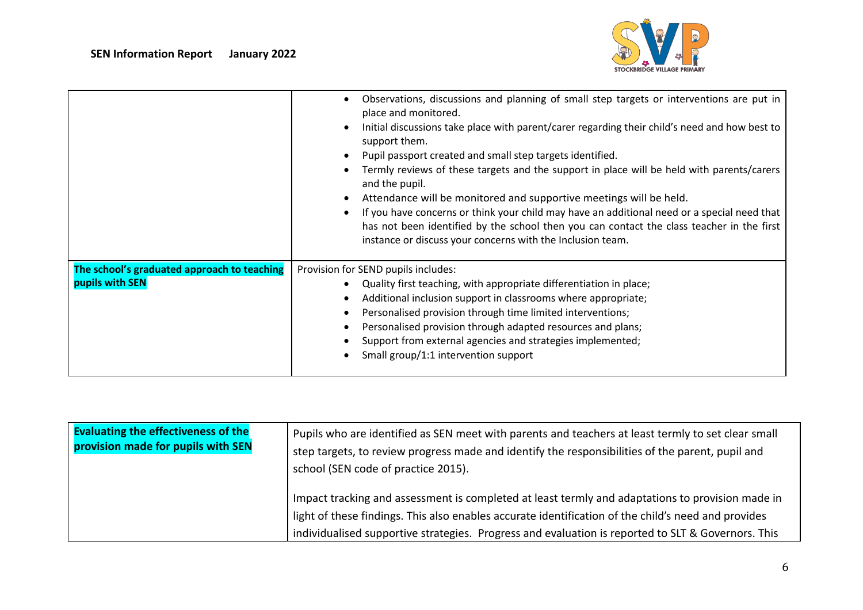

|                                                                | Observations, discussions and planning of small step targets or interventions are put in<br>place and monitored.<br>Initial discussions take place with parent/carer regarding their child's need and how best to<br>support them.<br>Pupil passport created and small step targets identified.<br>Termly reviews of these targets and the support in place will be held with parents/carers<br>and the pupil.<br>Attendance will be monitored and supportive meetings will be held.<br>If you have concerns or think your child may have an additional need or a special need that<br>has not been identified by the school then you can contact the class teacher in the first<br>instance or discuss your concerns with the Inclusion team. |
|----------------------------------------------------------------|------------------------------------------------------------------------------------------------------------------------------------------------------------------------------------------------------------------------------------------------------------------------------------------------------------------------------------------------------------------------------------------------------------------------------------------------------------------------------------------------------------------------------------------------------------------------------------------------------------------------------------------------------------------------------------------------------------------------------------------------|
| The school's graduated approach to teaching<br>pupils with SEN | Provision for SEND pupils includes:<br>Quality first teaching, with appropriate differentiation in place;<br>Additional inclusion support in classrooms where appropriate;<br>Personalised provision through time limited interventions;<br>Personalised provision through adapted resources and plans;                                                                                                                                                                                                                                                                                                                                                                                                                                        |
|                                                                | Support from external agencies and strategies implemented;<br>Small group/1:1 intervention support                                                                                                                                                                                                                                                                                                                                                                                                                                                                                                                                                                                                                                             |

| <b>Evaluating the effectiveness of the</b><br>provision made for pupils with SEN | Pupils who are identified as SEN meet with parents and teachers at least termly to set clear small<br>step targets, to review progress made and identify the responsibilities of the parent, pupil and<br>school (SEN code of practice 2015).                                                                 |
|----------------------------------------------------------------------------------|---------------------------------------------------------------------------------------------------------------------------------------------------------------------------------------------------------------------------------------------------------------------------------------------------------------|
|                                                                                  | Impact tracking and assessment is completed at least termly and adaptations to provision made in<br>light of these findings. This also enables accurate identification of the child's need and provides<br>individualised supportive strategies. Progress and evaluation is reported to SLT & Governors. This |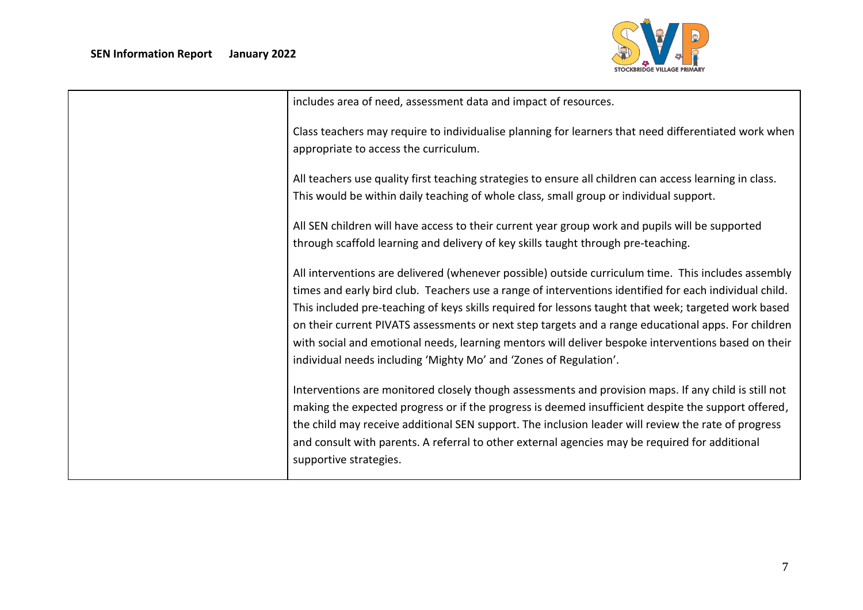

| includes area of need, assessment data and impact of resources.                                                                                                                                                                                                                                                                                                                                                                                                                                                                                                                                          |
|----------------------------------------------------------------------------------------------------------------------------------------------------------------------------------------------------------------------------------------------------------------------------------------------------------------------------------------------------------------------------------------------------------------------------------------------------------------------------------------------------------------------------------------------------------------------------------------------------------|
| Class teachers may require to individualise planning for learners that need differentiated work when<br>appropriate to access the curriculum.                                                                                                                                                                                                                                                                                                                                                                                                                                                            |
| All teachers use quality first teaching strategies to ensure all children can access learning in class.<br>This would be within daily teaching of whole class, small group or individual support.                                                                                                                                                                                                                                                                                                                                                                                                        |
| All SEN children will have access to their current year group work and pupils will be supported<br>through scaffold learning and delivery of key skills taught through pre-teaching.                                                                                                                                                                                                                                                                                                                                                                                                                     |
| All interventions are delivered (whenever possible) outside curriculum time. This includes assembly<br>times and early bird club. Teachers use a range of interventions identified for each individual child.<br>This included pre-teaching of keys skills required for lessons taught that week; targeted work based<br>on their current PIVATS assessments or next step targets and a range educational apps. For children<br>with social and emotional needs, learning mentors will deliver bespoke interventions based on their<br>individual needs including 'Mighty Mo' and 'Zones of Regulation'. |
| Interventions are monitored closely though assessments and provision maps. If any child is still not<br>making the expected progress or if the progress is deemed insufficient despite the support offered,<br>the child may receive additional SEN support. The inclusion leader will review the rate of progress<br>and consult with parents. A referral to other external agencies may be required for additional<br>supportive strategies.                                                                                                                                                           |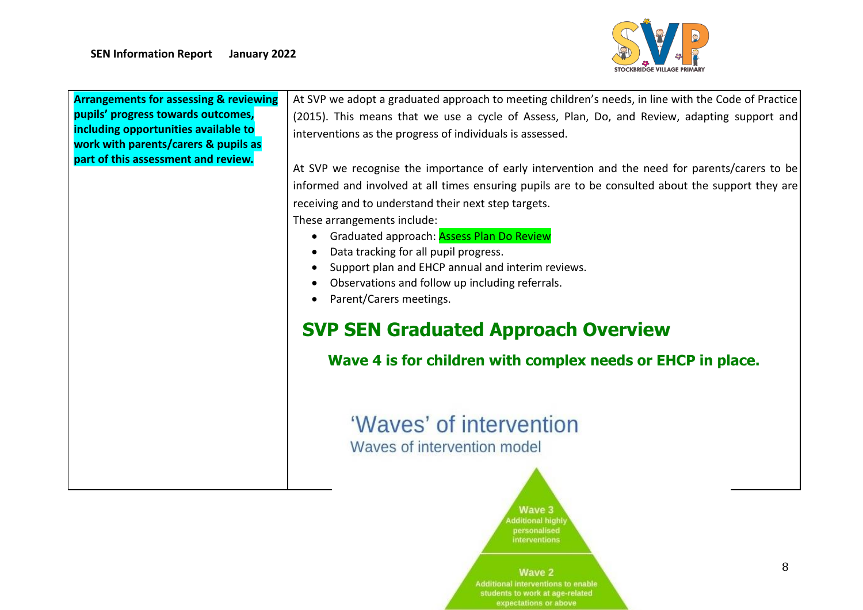

| <b>Arrangements for assessing &amp; reviewing</b><br>pupils' progress towards outcomes, | At SVP we adopt a graduated approach to meeting children's needs, in line with the Code of Practice                                                       |
|-----------------------------------------------------------------------------------------|-----------------------------------------------------------------------------------------------------------------------------------------------------------|
| including opportunities available to                                                    | (2015). This means that we use a cycle of Assess, Plan, Do, and Review, adapting support and<br>interventions as the progress of individuals is assessed. |
| work with parents/carers & pupils as<br>part of this assessment and review.             |                                                                                                                                                           |
|                                                                                         | At SVP we recognise the importance of early intervention and the need for parents/carers to be                                                            |
|                                                                                         | informed and involved at all times ensuring pupils are to be consulted about the support they are                                                         |
|                                                                                         | receiving and to understand their next step targets.                                                                                                      |
|                                                                                         | These arrangements include:                                                                                                                               |
|                                                                                         | Graduated approach: Assess Plan Do Review                                                                                                                 |
|                                                                                         | Data tracking for all pupil progress.<br>Support plan and EHCP annual and interim reviews.                                                                |
|                                                                                         | Observations and follow up including referrals.                                                                                                           |
|                                                                                         | Parent/Carers meetings.                                                                                                                                   |
|                                                                                         | <b>SVP SEN Graduated Approach Overview</b>                                                                                                                |
|                                                                                         | Wave 4 is for children with complex needs or EHCP in place.                                                                                               |
|                                                                                         | 'Waves' of intervention<br>Waves of intervention model                                                                                                    |
|                                                                                         |                                                                                                                                                           |
|                                                                                         | Nave 3                                                                                                                                                    |
|                                                                                         | personalised                                                                                                                                              |

## Wave 2 Additional interventions to enable<br>students to work at age-related expectations or above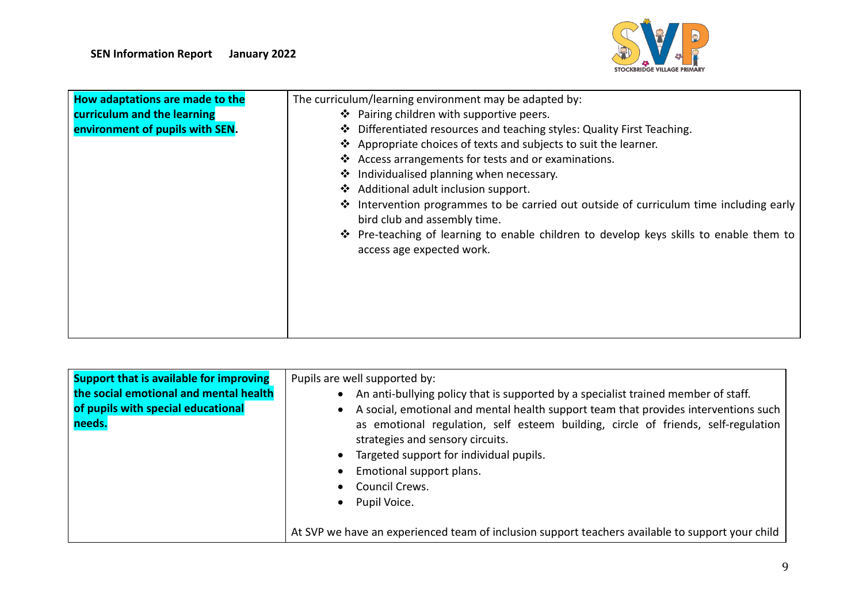

| How adaptations are made to the | The curriculum/learning environment may be adapted by:                                                                        |
|---------------------------------|-------------------------------------------------------------------------------------------------------------------------------|
| curriculum and the learning     | ❖ Pairing children with supportive peers.                                                                                     |
| environment of pupils with SEN. | ❖ Differentiated resources and teaching styles: Quality First Teaching.                                                       |
|                                 | ❖ Appropriate choices of texts and subjects to suit the learner.                                                              |
|                                 | ❖ Access arrangements for tests and or examinations.                                                                          |
|                                 | ❖ Individualised planning when necessary.                                                                                     |
|                                 | ❖ Additional adult inclusion support.                                                                                         |
|                                 | <b>↓</b> Intervention programmes to be carried out outside of curriculum time including early<br>bird club and assembly time. |
|                                 | ❖ Pre-teaching of learning to enable children to develop keys skills to enable them to<br>access age expected work.           |
|                                 |                                                                                                                               |
|                                 |                                                                                                                               |
|                                 |                                                                                                                               |
|                                 |                                                                                                                               |
|                                 |                                                                                                                               |

| Support that is available for improving<br>the social emotional and mental health<br>of pupils with special educational<br>needs. | Pupils are well supported by:<br>An anti-bullying policy that is supported by a specialist trained member of staff.<br>A social, emotional and mental health support team that provides interventions such<br>as emotional regulation, self esteem building, circle of friends, self-regulation<br>strategies and sensory circuits.<br>Targeted support for individual pupils.<br>Emotional support plans. |
|-----------------------------------------------------------------------------------------------------------------------------------|------------------------------------------------------------------------------------------------------------------------------------------------------------------------------------------------------------------------------------------------------------------------------------------------------------------------------------------------------------------------------------------------------------|
|                                                                                                                                   | Council Crews.<br>Pupil Voice.<br>At SVP we have an experienced team of inclusion support teachers available to support your child                                                                                                                                                                                                                                                                         |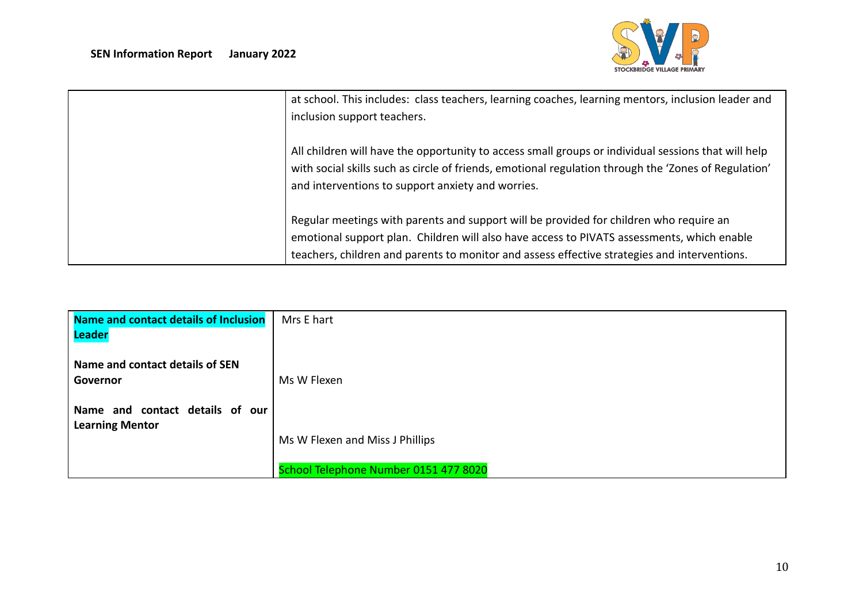

| at school. This includes: class teachers, learning coaches, learning mentors, inclusion leader and<br>inclusion support teachers.                                                                                                                                                    |
|--------------------------------------------------------------------------------------------------------------------------------------------------------------------------------------------------------------------------------------------------------------------------------------|
| All children will have the opportunity to access small groups or individual sessions that will help<br>with social skills such as circle of friends, emotional regulation through the 'Zones of Regulation'<br>and interventions to support anxiety and worries.                     |
| Regular meetings with parents and support will be provided for children who require an<br>emotional support plan. Children will also have access to PIVATS assessments, which enable<br>teachers, children and parents to monitor and assess effective strategies and interventions. |

| Name and contact details of Inclusion | Mrs E hart                            |
|---------------------------------------|---------------------------------------|
| <b>Leader</b>                         |                                       |
| Name and contact details of SEN       |                                       |
| Governor                              | Ms W Flexen                           |
|                                       |                                       |
| Name and contact details of our       |                                       |
| <b>Learning Mentor</b>                |                                       |
|                                       | Ms W Flexen and Miss J Phillips       |
|                                       |                                       |
|                                       | School Telephone Number 0151 477 8020 |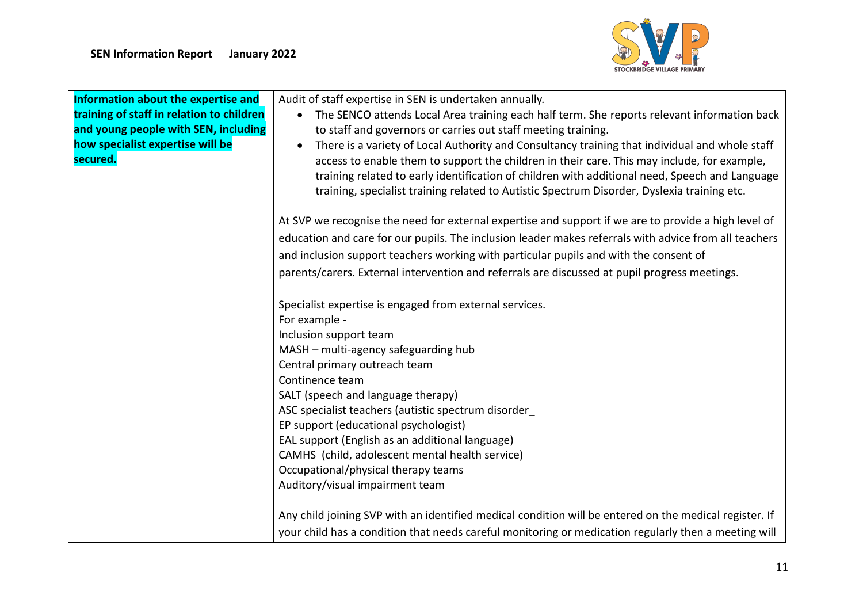

| Information about the expertise and<br>training of staff in relation to children<br>and young people with SEN, including<br>how specialist expertise will be<br>secured. | Audit of staff expertise in SEN is undertaken annually.<br>The SENCO attends Local Area training each half term. She reports relevant information back<br>to staff and governors or carries out staff meeting training.<br>There is a variety of Local Authority and Consultancy training that individual and whole staff<br>access to enable them to support the children in their care. This may include, for example,<br>training related to early identification of children with additional need, Speech and Language |
|--------------------------------------------------------------------------------------------------------------------------------------------------------------------------|----------------------------------------------------------------------------------------------------------------------------------------------------------------------------------------------------------------------------------------------------------------------------------------------------------------------------------------------------------------------------------------------------------------------------------------------------------------------------------------------------------------------------|
|                                                                                                                                                                          | training, specialist training related to Autistic Spectrum Disorder, Dyslexia training etc.<br>At SVP we recognise the need for external expertise and support if we are to provide a high level of<br>education and care for our pupils. The inclusion leader makes referrals with advice from all teachers<br>and inclusion support teachers working with particular pupils and with the consent of<br>parents/carers. External intervention and referrals are discussed at pupil progress meetings.                     |
|                                                                                                                                                                          | Specialist expertise is engaged from external services.<br>For example -<br>Inclusion support team<br>MASH - multi-agency safeguarding hub<br>Central primary outreach team<br>Continence team<br>SALT (speech and language therapy)<br>ASC specialist teachers (autistic spectrum disorder<br>EP support (educational psychologist)<br>EAL support (English as an additional language)<br>CAMHS (child, adolescent mental health service)<br>Occupational/physical therapy teams<br>Auditory/visual impairment team       |
|                                                                                                                                                                          | Any child joining SVP with an identified medical condition will be entered on the medical register. If<br>your child has a condition that needs careful monitoring or medication regularly then a meeting will                                                                                                                                                                                                                                                                                                             |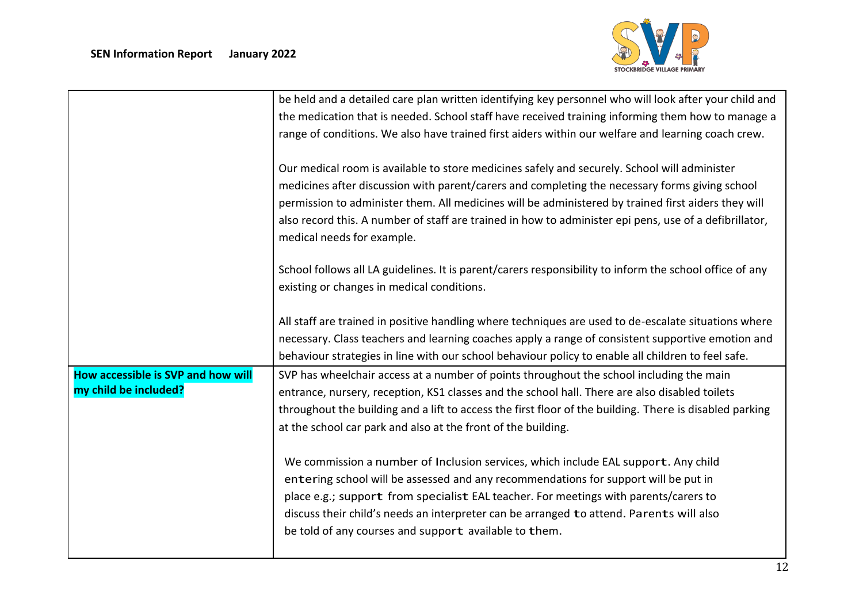

|                                                             | be held and a detailed care plan written identifying key personnel who will look after your child and<br>the medication that is needed. School staff have received training informing them how to manage a<br>range of conditions. We also have trained first aiders within our welfare and learning coach crew.                                                                                                                              |
|-------------------------------------------------------------|-----------------------------------------------------------------------------------------------------------------------------------------------------------------------------------------------------------------------------------------------------------------------------------------------------------------------------------------------------------------------------------------------------------------------------------------------|
|                                                             | Our medical room is available to store medicines safely and securely. School will administer<br>medicines after discussion with parent/carers and completing the necessary forms giving school<br>permission to administer them. All medicines will be administered by trained first aiders they will<br>also record this. A number of staff are trained in how to administer epi pens, use of a defibrillator,<br>medical needs for example. |
|                                                             | School follows all LA guidelines. It is parent/carers responsibility to inform the school office of any<br>existing or changes in medical conditions.                                                                                                                                                                                                                                                                                         |
|                                                             | All staff are trained in positive handling where techniques are used to de-escalate situations where<br>necessary. Class teachers and learning coaches apply a range of consistent supportive emotion and<br>behaviour strategies in line with our school behaviour policy to enable all children to feel safe.                                                                                                                               |
| How accessible is SVP and how will<br>my child be included? | SVP has wheelchair access at a number of points throughout the school including the main<br>entrance, nursery, reception, KS1 classes and the school hall. There are also disabled toilets<br>throughout the building and a lift to access the first floor of the building. There is disabled parking<br>at the school car park and also at the front of the building.                                                                        |
|                                                             | We commission a number of Inclusion services, which include EAL support. Any child<br>entering school will be assessed and any recommendations for support will be put in<br>place e.g.; support from specialist EAL teacher. For meetings with parents/carers to<br>discuss their child's needs an interpreter can be arranged to attend. Parents will also<br>be told of any courses and support available to them.                         |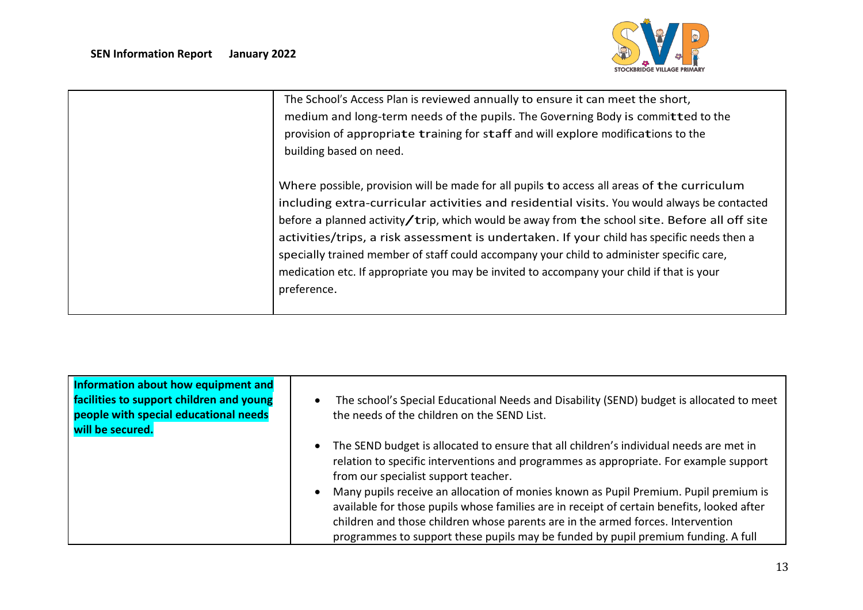

| The School's Access Plan is reviewed annually to ensure it can meet the short,<br>medium and long-term needs of the pupils. The Governing Body is committed to the<br>provision of appropriate training for staff and will explore modifications to the<br>building based on need.                                                                                                                                                                                                                                                                                                                 |
|----------------------------------------------------------------------------------------------------------------------------------------------------------------------------------------------------------------------------------------------------------------------------------------------------------------------------------------------------------------------------------------------------------------------------------------------------------------------------------------------------------------------------------------------------------------------------------------------------|
| Where possible, provision will be made for all pupils to access all areas of the curriculum<br>including extra-curricular activities and residential visits. You would always be contacted<br>before a planned activity/trip, which would be away from the school site. Before all off site<br>activities/trips, a risk assessment is undertaken. If your child has specific needs then a<br>specially trained member of staff could accompany your child to administer specific care,<br>medication etc. If appropriate you may be invited to accompany your child if that is your<br>preference. |

| Information about how equipment and<br>facilities to support children and young<br>people with special educational needs<br>will be secured. | The school's Special Educational Needs and Disability (SEND) budget is allocated to meet<br>the needs of the children on the SEND List.                                                                                                                                                                                                                    |
|----------------------------------------------------------------------------------------------------------------------------------------------|------------------------------------------------------------------------------------------------------------------------------------------------------------------------------------------------------------------------------------------------------------------------------------------------------------------------------------------------------------|
|                                                                                                                                              | The SEND budget is allocated to ensure that all children's individual needs are met in<br>relation to specific interventions and programmes as appropriate. For example support<br>from our specialist support teacher.                                                                                                                                    |
|                                                                                                                                              | Many pupils receive an allocation of monies known as Pupil Premium. Pupil premium is<br>available for those pupils whose families are in receipt of certain benefits, looked after<br>children and those children whose parents are in the armed forces. Intervention<br>programmes to support these pupils may be funded by pupil premium funding. A full |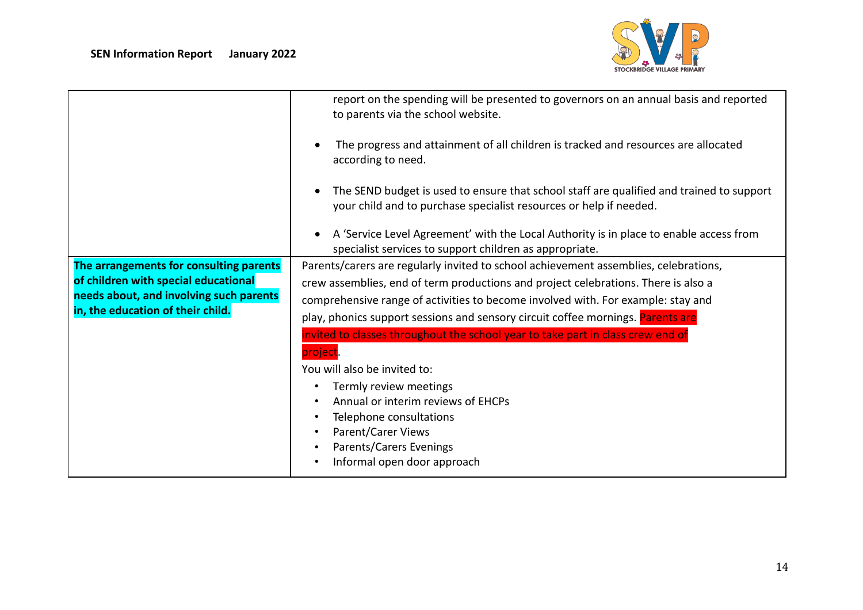

|                                         | report on the spending will be presented to governors on an annual basis and reported<br>to parents via the school website.                                    |
|-----------------------------------------|----------------------------------------------------------------------------------------------------------------------------------------------------------------|
|                                         | The progress and attainment of all children is tracked and resources are allocated<br>according to need.                                                       |
|                                         | The SEND budget is used to ensure that school staff are qualified and trained to support<br>your child and to purchase specialist resources or help if needed. |
|                                         | A 'Service Level Agreement' with the Local Authority is in place to enable access from<br>specialist services to support children as appropriate.              |
| The arrangements for consulting parents | Parents/carers are regularly invited to school achievement assemblies, celebrations,                                                                           |
| of children with special educational    | crew assemblies, end of term productions and project celebrations. There is also a                                                                             |
| needs about, and involving such parents | comprehensive range of activities to become involved with. For example: stay and                                                                               |
| in, the education of their child.       | play, phonics support sessions and sensory circuit coffee mornings. Parents are                                                                                |
|                                         | invited to classes throughout the school year to take part in class crew end of                                                                                |
|                                         | project.                                                                                                                                                       |
|                                         | You will also be invited to:                                                                                                                                   |
|                                         | Termly review meetings                                                                                                                                         |
|                                         | Annual or interim reviews of EHCPs                                                                                                                             |
|                                         | Telephone consultations                                                                                                                                        |
|                                         | Parent/Carer Views                                                                                                                                             |
|                                         | Parents/Carers Evenings                                                                                                                                        |
|                                         | Informal open door approach                                                                                                                                    |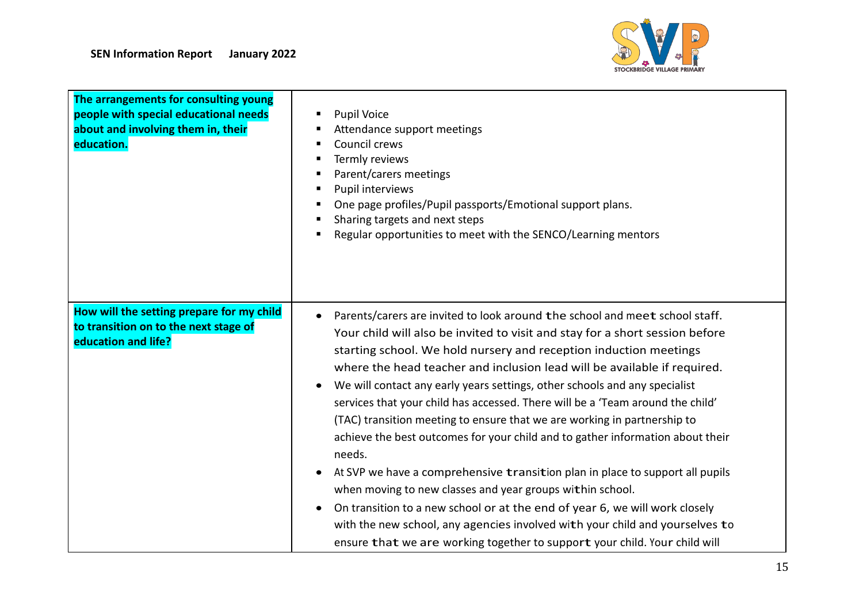

| The arrangements for consulting young<br>people with special educational needs<br>about and involving them in, their<br>education. | <b>Pupil Voice</b><br>Attendance support meetings<br>Council crews<br>Termly reviews<br>Parent/carers meetings<br>Pupil interviews<br>One page profiles/Pupil passports/Emotional support plans.<br>Sharing targets and next steps<br>Regular opportunities to meet with the SENCO/Learning mentors                                                                                                                                                                                                                                                                                                                                                                                                                                                                                                                                                                                                                                                                                                                                             |
|------------------------------------------------------------------------------------------------------------------------------------|-------------------------------------------------------------------------------------------------------------------------------------------------------------------------------------------------------------------------------------------------------------------------------------------------------------------------------------------------------------------------------------------------------------------------------------------------------------------------------------------------------------------------------------------------------------------------------------------------------------------------------------------------------------------------------------------------------------------------------------------------------------------------------------------------------------------------------------------------------------------------------------------------------------------------------------------------------------------------------------------------------------------------------------------------|
| How will the setting prepare for my child<br>to transition on to the next stage of<br>education and life?                          | Parents/carers are invited to look around the school and meet school staff.<br>Your child will also be invited to visit and stay for a short session before<br>starting school. We hold nursery and reception induction meetings<br>where the head teacher and inclusion lead will be available if required.<br>We will contact any early years settings, other schools and any specialist<br>services that your child has accessed. There will be a 'Team around the child'<br>(TAC) transition meeting to ensure that we are working in partnership to<br>achieve the best outcomes for your child and to gather information about their<br>needs.<br>At SVP we have a comprehensive transition plan in place to support all pupils<br>when moving to new classes and year groups within school.<br>On transition to a new school or at the end of year 6, we will work closely<br>with the new school, any agencies involved with your child and yourselves to<br>ensure that we are working together to support your child. Your child will |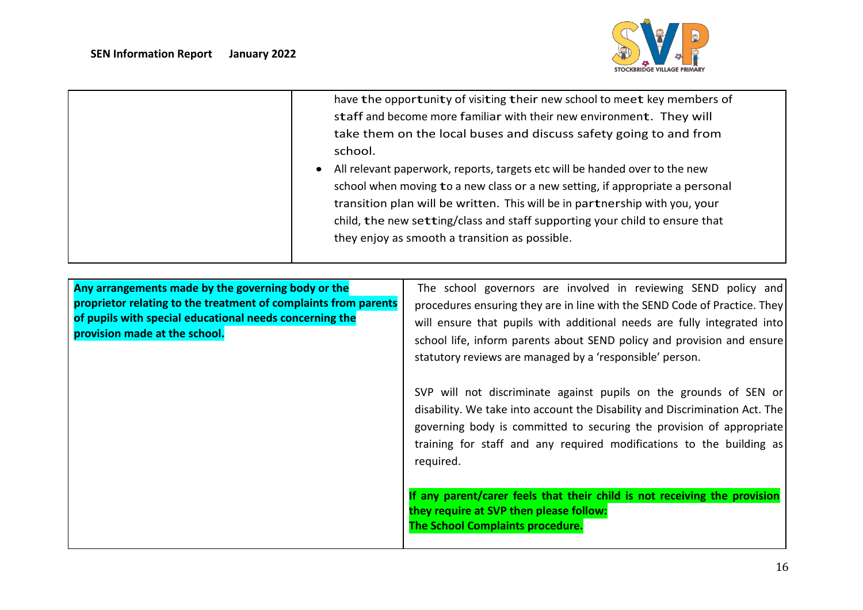

|  | have the opportunity of visiting their new school to meet key members of<br>staff and become more familiar with their new environment. They will<br>take them on the local buses and discuss safety going to and from<br>school.<br>All relevant paperwork, reports, targets etc will be handed over to the new<br>school when moving to a new class or a new setting, if appropriate a personal<br>transition plan will be written. This will be in partnership with you, your<br>child, the new setting/class and staff supporting your child to ensure that<br>they enjoy as smooth a transition as possible. |
|--|------------------------------------------------------------------------------------------------------------------------------------------------------------------------------------------------------------------------------------------------------------------------------------------------------------------------------------------------------------------------------------------------------------------------------------------------------------------------------------------------------------------------------------------------------------------------------------------------------------------|
|--|------------------------------------------------------------------------------------------------------------------------------------------------------------------------------------------------------------------------------------------------------------------------------------------------------------------------------------------------------------------------------------------------------------------------------------------------------------------------------------------------------------------------------------------------------------------------------------------------------------------|

| required.                                                                   | Any arrangements made by the governing body or the<br>proprietor relating to the treatment of complaints from parents<br>of pupils with special educational needs concerning the<br>provision made at the school. | The school governors are involved in reviewing SEND policy and<br>procedures ensuring they are in line with the SEND Code of Practice. They<br>will ensure that pupils with additional needs are fully integrated into<br>school life, inform parents about SEND policy and provision and ensure<br>statutory reviews are managed by a 'responsible' person.                  |
|-----------------------------------------------------------------------------|-------------------------------------------------------------------------------------------------------------------------------------------------------------------------------------------------------------------|-------------------------------------------------------------------------------------------------------------------------------------------------------------------------------------------------------------------------------------------------------------------------------------------------------------------------------------------------------------------------------|
| they require at SVP then please follow:<br>The School Complaints procedure. |                                                                                                                                                                                                                   | SVP will not discriminate against pupils on the grounds of SEN or<br>disability. We take into account the Disability and Discrimination Act. The<br>governing body is committed to securing the provision of appropriate<br>training for staff and any required modifications to the building as<br>If any parent/carer feels that their child is not receiving the provision |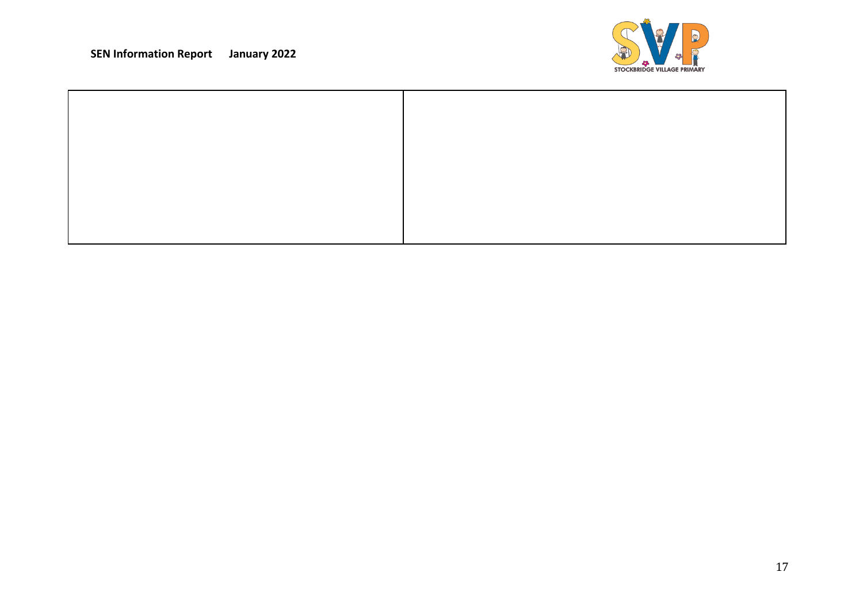**SEN Information Report January 2022** 

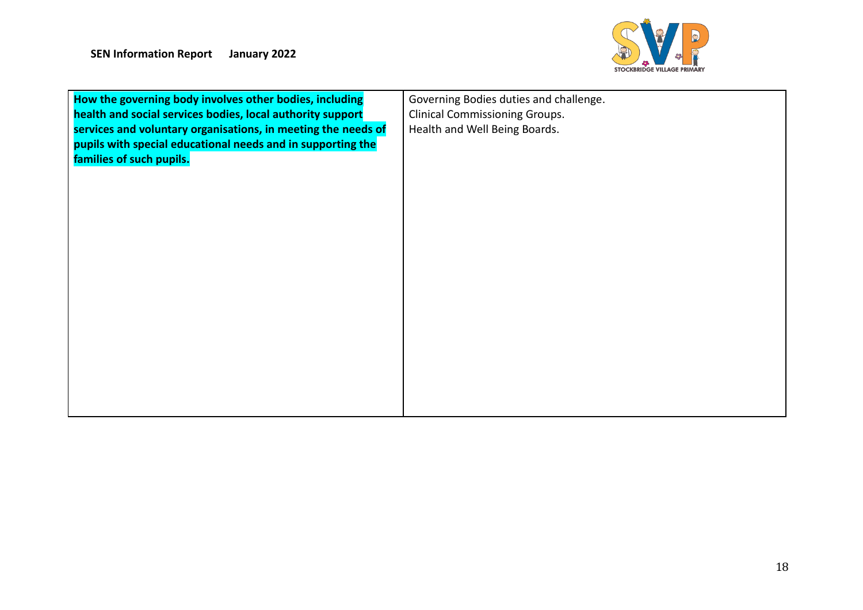

| How the governing body involves other bodies, including<br>health and social services bodies, local authority support<br>services and voluntary organisations, in meeting the needs of<br>pupils with special educational needs and in supporting the<br>families of such pupils. | Governing Bodies duties and challenge.<br><b>Clinical Commissioning Groups.</b><br>Health and Well Being Boards. |
|-----------------------------------------------------------------------------------------------------------------------------------------------------------------------------------------------------------------------------------------------------------------------------------|------------------------------------------------------------------------------------------------------------------|
|                                                                                                                                                                                                                                                                                   |                                                                                                                  |
|                                                                                                                                                                                                                                                                                   |                                                                                                                  |
|                                                                                                                                                                                                                                                                                   |                                                                                                                  |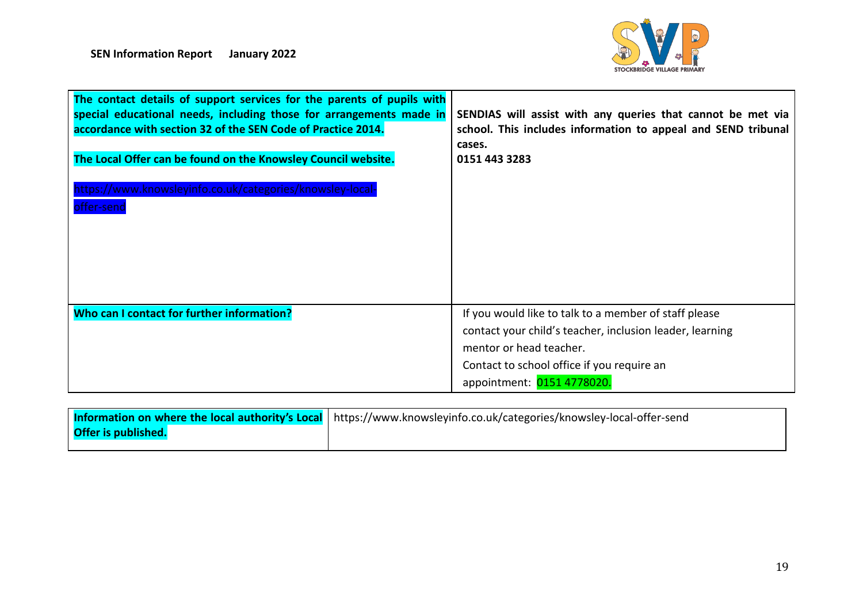

| The contact details of support services for the parents of pupils with<br>special educational needs, including those for arrangements made in<br>accordance with section 32 of the SEN Code of Practice 2014. | SENDIAS will assist with any queries that cannot be met via<br>school. This includes information to appeal and SEND tribunal<br>cases.                                                                                   |
|---------------------------------------------------------------------------------------------------------------------------------------------------------------------------------------------------------------|--------------------------------------------------------------------------------------------------------------------------------------------------------------------------------------------------------------------------|
| The Local Offer can be found on the Knowsley Council website.                                                                                                                                                 | 0151 443 3283                                                                                                                                                                                                            |
| https://www.knowsleyinfo.co.uk/categories/knowsley-local-<br>offer-send                                                                                                                                       |                                                                                                                                                                                                                          |
| Who can I contact for further information?                                                                                                                                                                    | If you would like to talk to a member of staff please<br>contact your child's teacher, inclusion leader, learning<br>mentor or head teacher.<br>Contact to school office if you require an<br>appointment: 0151 4778020. |

|                            | Information on where the local authority's Local   https://www.knowsleyinfo.co.uk/categories/knowsley-local-offer-send |
|----------------------------|------------------------------------------------------------------------------------------------------------------------|
| <b>Offer is published.</b> |                                                                                                                        |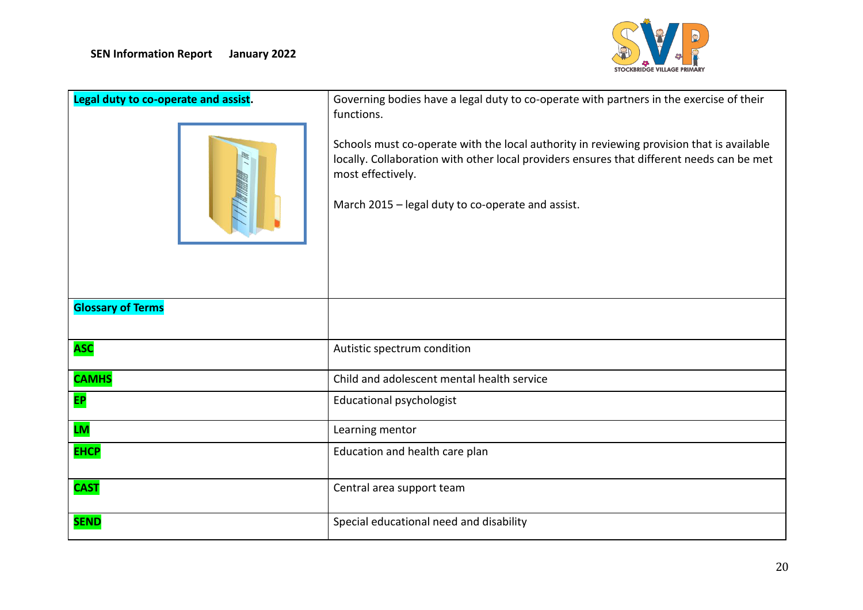

| Legal duty to co-operate and assist. | Governing bodies have a legal duty to co-operate with partners in the exercise of their<br>functions.<br>Schools must co-operate with the local authority in reviewing provision that is available<br>locally. Collaboration with other local providers ensures that different needs can be met<br>most effectively.<br>March 2015 - legal duty to co-operate and assist. |
|--------------------------------------|---------------------------------------------------------------------------------------------------------------------------------------------------------------------------------------------------------------------------------------------------------------------------------------------------------------------------------------------------------------------------|
| <b>Glossary of Terms</b>             |                                                                                                                                                                                                                                                                                                                                                                           |
| <b>ASC</b>                           | Autistic spectrum condition                                                                                                                                                                                                                                                                                                                                               |
| <b>CAMHS</b>                         | Child and adolescent mental health service                                                                                                                                                                                                                                                                                                                                |
| <u>EP</u>                            | <b>Educational psychologist</b>                                                                                                                                                                                                                                                                                                                                           |
| <u>LM</u>                            | Learning mentor                                                                                                                                                                                                                                                                                                                                                           |
| <b>EHCP</b>                          | Education and health care plan                                                                                                                                                                                                                                                                                                                                            |
| <b>CAST</b>                          | Central area support team                                                                                                                                                                                                                                                                                                                                                 |
| <b>SEND</b>                          | Special educational need and disability                                                                                                                                                                                                                                                                                                                                   |